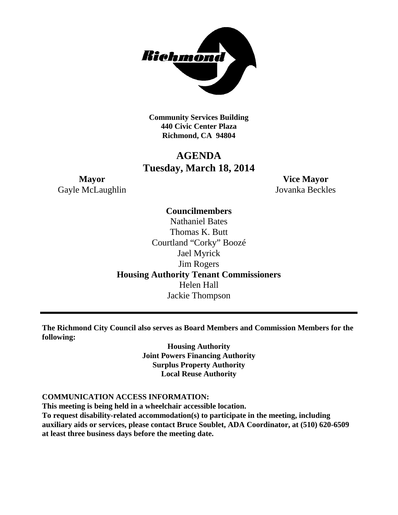

**Community Services Building 440 Civic Center Plaza Richmond, CA 94804**

# **AGENDA Tuesday, March 18, 2014**

**Mayor Vice Mayor** Gayle McLaughlin Jovanka Beckles

## **Councilmembers**

Nathaniel Bates Thomas K. Butt Courtland "Corky" Boozé Jael Myrick Jim Rogers **Housing Authority Tenant Commissioners** Helen Hall Jackie Thompson

**The Richmond City Council also serves as Board Members and Commission Members for the following:**

> **Housing Authority Joint Powers Financing Authority Surplus Property Authority Local Reuse Authority**

#### **COMMUNICATION ACCESS INFORMATION:**

**This meeting is being held in a wheelchair accessible location. To request disability-related accommodation(s) to participate in the meeting, including auxiliary aids or services, please contact Bruce Soublet, ADA Coordinator, at (510) 620-6509 at least three business days before the meeting date.**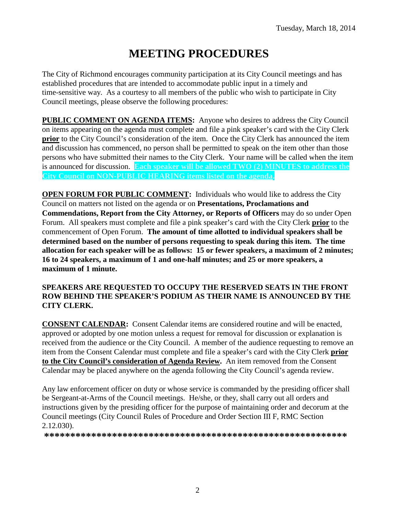# **MEETING PROCEDURES**

The City of Richmond encourages community participation at its City Council meetings and has established procedures that are intended to accommodate public input in a timely and time-sensitive way. As a courtesy to all members of the public who wish to participate in City Council meetings, please observe the following procedures:

**PUBLIC COMMENT ON AGENDA ITEMS:** Anyone who desires to address the City Council on items appearing on the agenda must complete and file a pink speaker's card with the City Clerk **prior** to the City Council's consideration of the item. Once the City Clerk has announced the item and discussion has commenced, no person shall be permitted to speak on the item other than those persons who have submitted their names to the City Clerk. Your name will be called when the item is announced for discussion. **Each speaker will be allowed TWO (2) MINUTES to address the City Council on NON-PUBLIC HEARING items listed on the agenda.**

**OPEN FORUM FOR PUBLIC COMMENT:** Individuals who would like to address the City Council on matters not listed on the agenda or on **Presentations, Proclamations and Commendations, Report from the City Attorney, or Reports of Officers** may do so under Open Forum. All speakers must complete and file a pink speaker's card with the City Clerk **prior** to the commencement of Open Forum. **The amount of time allotted to individual speakers shall be determined based on the number of persons requesting to speak during this item. The time allocation for each speaker will be as follows: 15 or fewer speakers, a maximum of 2 minutes; 16 to 24 speakers, a maximum of 1 and one-half minutes; and 25 or more speakers, a maximum of 1 minute.**

#### **SPEAKERS ARE REQUESTED TO OCCUPY THE RESERVED SEATS IN THE FRONT ROW BEHIND THE SPEAKER'S PODIUM AS THEIR NAME IS ANNOUNCED BY THE CITY CLERK.**

**CONSENT CALENDAR:** Consent Calendar items are considered routine and will be enacted, approved or adopted by one motion unless a request for removal for discussion or explanation is received from the audience or the City Council. A member of the audience requesting to remove an item from the Consent Calendar must complete and file a speaker's card with the City Clerk **prior to the City Council's consideration of Agenda Review.** An item removed from the Consent Calendar may be placed anywhere on the agenda following the City Council's agenda review.

Any law enforcement officer on duty or whose service is commanded by the presiding officer shall be Sergeant-at-Arms of the Council meetings. He/she, or they, shall carry out all orders and instructions given by the presiding officer for the purpose of maintaining order and decorum at the Council meetings (City Council Rules of Procedure and Order Section III F, RMC Section 2.12.030).

**\*\*\*\*\*\*\*\*\*\*\*\*\*\*\*\*\*\*\*\*\*\*\*\*\*\*\*\*\*\*\*\*\*\*\*\*\*\*\*\*\*\*\*\*\*\*\*\*\*\*\*\*\*\*\*\*\*\***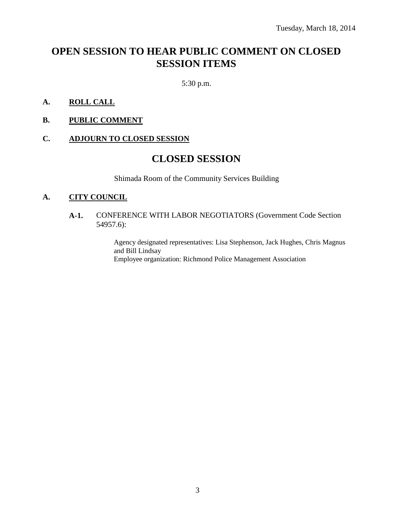# **OPEN SESSION TO HEAR PUBLIC COMMENT ON CLOSED SESSION ITEMS**

5:30 p.m.

- **A. ROLL CALL**
- **B. PUBLIC COMMENT**

#### **C. ADJOURN TO CLOSED SESSION**

## **CLOSED SESSION**

Shimada Room of the Community Services Building

#### **A. CITY COUNCIL**

#### **A-1.** CONFERENCE WITH LABOR NEGOTIATORS (Government Code Section 54957.6):

Agency designated representatives: Lisa Stephenson, Jack Hughes, Chris Magnus and Bill Lindsay Employee organization: Richmond Police Management Association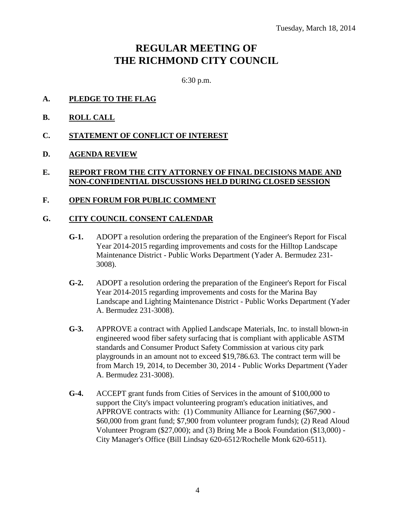# **REGULAR MEETING OF THE RICHMOND CITY COUNCIL**

6:30 p.m.

- **A. PLEDGE TO THE FLAG**
- **B. ROLL CALL**
- **C. STATEMENT OF CONFLICT OF INTEREST**
- **D. AGENDA REVIEW**

#### **E. REPORT FROM THE CITY ATTORNEY OF FINAL DECISIONS MADE AND NON-CONFIDENTIAL DISCUSSIONS HELD DURING CLOSED SESSION**

#### **F. OPEN FORUM FOR PUBLIC COMMENT**

#### **G. CITY COUNCIL CONSENT CALENDAR**

- **G-1.** ADOPT a resolution ordering the preparation of the Engineer's Report for Fiscal Year 2014-2015 regarding improvements and costs for the Hilltop Landscape Maintenance District - Public Works Department (Yader A. Bermudez 231- 3008).
- **G-2.** ADOPT a resolution ordering the preparation of the Engineer's Report for Fiscal Year 2014-2015 regarding improvements and costs for the Marina Bay Landscape and Lighting Maintenance District - Public Works Department (Yader A. Bermudez 231-3008).
- **G-3.** APPROVE a contract with Applied Landscape Materials, Inc. to install blown-in engineered wood fiber safety surfacing that is compliant with applicable ASTM standards and Consumer Product Safety Commission at various city park playgrounds in an amount not to exceed \$19,786.63. The contract term will be from March 19, 2014, to December 30, 2014 - Public Works Department (Yader A. Bermudez 231-3008).
- **G-4.** ACCEPT grant funds from Cities of Services in the amount of \$100,000 to support the City's impact volunteering program's education initiatives, and APPROVE contracts with: (1) Community Alliance for Learning (\$67,900 - \$60,000 from grant fund; \$7,900 from volunteer program funds); (2) Read Aloud Volunteer Program (\$27,000); and (3) Bring Me a Book Foundation (\$13,000) - City Manager's Office (Bill Lindsay 620-6512/Rochelle Monk 620-6511).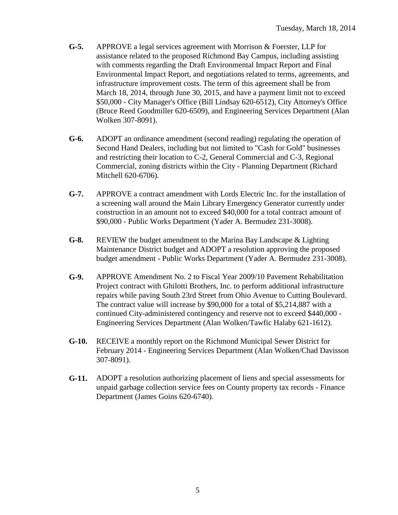- **G-5.** APPROVE a legal services agreement with Morrison & Foerster, LLP for assistance related to the proposed Richmond Bay Campus, including assisting with comments regarding the Draft Environmental Impact Report and Final Environmental Impact Report, and negotiations related to terms, agreements, and infrastructure improvement costs. The term of this agreement shall be from March 18, 2014, through June 30, 2015, and have a payment limit not to exceed \$50,000 - City Manager's Office (Bill Lindsay 620-6512), City Attorney's Office (Bruce Reed Goodmiller 620-6509), and Engineering Services Department (Alan Wolken 307-8091).
- **G-6.** ADOPT an ordinance amendment (second reading) regulating the operation of Second Hand Dealers, including but not limited to "Cash for Gold" businesses and restricting their location to C-2, General Commercial and C-3, Regional Commercial, zoning districts within the City - Planning Department (Richard Mitchell 620-6706).
- **G-7.** APPROVE a contract amendment with Lords Electric Inc. for the installation of a screening wall around the Main Library Emergency Generator currently under construction in an amount not to exceed \$40,000 for a total contract amount of \$90,000 - Public Works Department (Yader A. Bermudez 231-3008).
- **G-8.** REVIEW the budget amendment to the Marina Bay Landscape & Lighting Maintenance District budget and ADOPT a resolution approving the proposed budget amendment - Public Works Department (Yader A. Bermudez 231-3008).
- **G-9.** APPROVE Amendment No. 2 to Fiscal Year 2009/10 Pavement Rehabilitation Project contract with Ghilotti Brothers, Inc. to perform additional infrastructure repairs while paving South 23rd Street from Ohio Avenue to Cutting Boulevard. The contract value will increase by \$90,000 for a total of \$5,214,887 with a continued City-administered contingency and reserve not to exceed \$440,000 - Engineering Services Department (Alan Wolken/Tawfic Halaby 621-1612).
- **G-10.** RECEIVE a monthly report on the Richmond Municipal Sewer District for February 2014 - Engineering Services Department (Alan Wolken/Chad Davisson 307-8091).
- **G-11.** ADOPT a resolution authorizing placement of liens and special assessments for unpaid garbage collection service fees on County property tax records - Finance Department (James Goins 620-6740).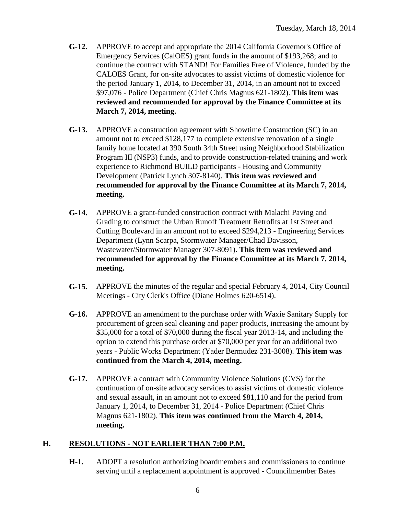- **G-12.** APPROVE to accept and appropriate the 2014 California Governor's Office of Emergency Services (CalOES) grant funds in the amount of \$193,268; and to continue the contract with STAND! For Families Free of Violence, funded by the CALOES Grant, for on-site advocates to assist victims of domestic violence for the period January 1, 2014, to December 31, 2014, in an amount not to exceed \$97,076 - Police Department (Chief Chris Magnus 621-1802). **This item was reviewed and recommended for approval by the Finance Committee at its March 7, 2014, meeting.**
- **G-13.** APPROVE a construction agreement with Showtime Construction (SC) in an amount not to exceed \$128,177 to complete extensive renovation of a single family home located at 390 South 34th Street using Neighborhood Stabilization Program III (NSP3) funds, and to provide construction-related training and work experience to Richmond BUILD participants - Housing and Community Development (Patrick Lynch 307-8140). **This item was reviewed and recommended for approval by the Finance Committee at its March 7, 2014, meeting.**
- **G-14.** APPROVE a grant-funded construction contract with Malachi Paving and Grading to construct the Urban Runoff Treatment Retrofits at 1st Street and Cutting Boulevard in an amount not to exceed \$294,213 - Engineering Services Department (Lynn Scarpa, Stormwater Manager/Chad Davisson, Wastewater/Stormwater Manager 307-8091). **This item was reviewed and recommended for approval by the Finance Committee at its March 7, 2014, meeting.**
- **G-15.** APPROVE the minutes of the regular and special February 4, 2014, City Council Meetings - City Clerk's Office (Diane Holmes 620-6514).
- **G-16.** APPROVE an amendment to the purchase order with Waxie Sanitary Supply for procurement of green seal cleaning and paper products, increasing the amount by \$35,000 for a total of \$70,000 during the fiscal year 2013-14, and including the option to extend this purchase order at \$70,000 per year for an additional two years - Public Works Department (Yader Bermudez 231-3008). **This item was continued from the March 4, 2014, meeting.**
- **G-17.** APPROVE a contract with Community Violence Solutions (CVS) for the continuation of on-site advocacy services to assist victims of domestic violence and sexual assault, in an amount not to exceed \$81,110 and for the period from January 1, 2014, to December 31, 2014 - Police Department (Chief Chris Magnus 621-1802). **This item was continued from the March 4, 2014, meeting.**

## **H. RESOLUTIONS - NOT EARLIER THAN 7:00 P.M.**

**H-1.** ADOPT a resolution authorizing boardmembers and commissioners to continue serving until a replacement appointment is approved - Councilmember Bates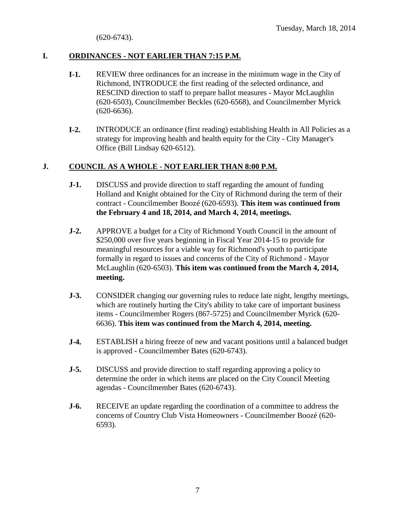(620-6743).

## **I. ORDINANCES - NOT EARLIER THAN 7:15 P.M.**

- **I-1.** REVIEW three ordinances for an increase in the minimum wage in the City of Richmond, INTRODUCE the first reading of the selected ordinance, and RESCIND direction to staff to prepare ballot measures - Mayor McLaughlin (620-6503), Councilmember Beckles (620-6568), and Councilmember Myrick (620-6636).
- **I-2.** INTRODUCE an ordinance (first reading) establishing Health in All Policies as a strategy for improving health and health equity for the City - City Manager's Office (Bill Lindsay 620-6512).

#### **J. COUNCIL AS A WHOLE - NOT EARLIER THAN 8:00 P.M.**

- **J-1.** DISCUSS and provide direction to staff regarding the amount of funding Holland and Knight obtained for the City of Richmond during the term of their contract - Councilmember Boozé (620-6593). **This item was continued from the February 4 and 18, 2014, and March 4, 2014, meetings.**
- **J-2.** APPROVE a budget for a City of Richmond Youth Council in the amount of \$250,000 over five years beginning in Fiscal Year 2014-15 to provide for meaningful resources for a viable way for Richmond's youth to participate formally in regard to issues and concerns of the City of Richmond - Mayor McLaughlin (620-6503). **This item was continued from the March 4, 2014, meeting.**
- **J-3.** CONSIDER changing our governing rules to reduce late night, lengthy meetings, which are routinely hurting the City's ability to take care of important business items - Councilmember Rogers (867-5725) and Councilmember Myrick (620- 6636). **This item was continued from the March 4, 2014, meeting.**
- **J-4.** ESTABLISH a hiring freeze of new and vacant positions until a balanced budget is approved - Councilmember Bates (620-6743).
- **J-5.** DISCUSS and provide direction to staff regarding approving a policy to determine the order in which items are placed on the City Council Meeting agendas - Councilmember Bates (620-6743).
- **J-6.** RECEIVE an update regarding the coordination of a committee to address the concerns of Country Club Vista Homeowners - Councilmember Boozé (620- 6593).